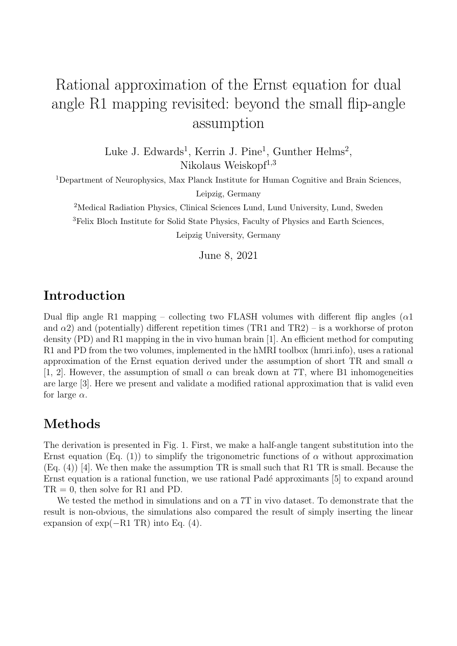# Rational approximation of the Ernst equation for dual angle R1 mapping revisited: beyond the small flip-angle assumption

Luke J. Edwards<sup>1</sup>, Kerrin J. Pine<sup>1</sup>, Gunther Helms<sup>2</sup>, Nikolaus Weiskopf $1,3$ 

<sup>1</sup>Department of Neurophysics, Max Planck Institute for Human Cognitive and Brain Sciences,

Leipzig, Germany

<sup>2</sup>Medical Radiation Physics, Clinical Sciences Lund, Lund University, Lund, Sweden <sup>3</sup>Felix Bloch Institute for Solid State Physics, Faculty of Physics and Earth Sciences, Leipzig University, Germany

June 8, 2021

## Introduction

Dual flip angle R1 mapping – collecting two FLASH volumes with different flip angles ( $\alpha$ 1 and  $\alpha$ 2) and (potentially) different repetition times (TR1 and TR2) – is a workhorse of proton density (PD) and R1 mapping in the in vivo human brain [1]. An efficient method for computing R1 and PD from the two volumes, implemented in the hMRI toolbox (hmri.info), uses a rational approximation of the Ernst equation derived under the assumption of short TR and small  $\alpha$ [1, 2]. However, the assumption of small  $\alpha$  can break down at 7T, where B1 inhomogeneities are large [3]. Here we present and validate a modified rational approximation that is valid even for large  $\alpha$ .

#### Methods

The derivation is presented in Fig. 1. First, we make a half-angle tangent substitution into the Ernst equation (Eq. (1)) to simplify the trigonometric functions of  $\alpha$  without approximation (Eq. (4)) [4]. We then make the assumption TR is small such that R1 TR is small. Because the Ernst equation is a rational function, we use rational Padé approximants [5] to expand around  $TR = 0$ , then solve for R1 and PD.

We tested the method in simulations and on a 7T in vivo dataset. To demonstrate that the result is non-obvious, the simulations also compared the result of simply inserting the linear expansion of  $\exp(-R1 \text{ TR})$  into Eq. (4).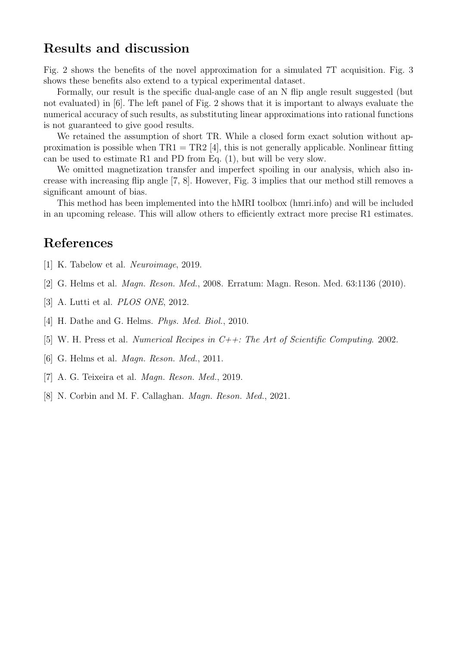### Results and discussion

Fig. 2 shows the benefits of the novel approximation for a simulated 7T acquisition. Fig. 3 shows these benefits also extend to a typical experimental dataset.

Formally, our result is the specific dual-angle case of an N flip angle result suggested (but not evaluated) in [6]. The left panel of Fig. 2 shows that it is important to always evaluate the numerical accuracy of such results, as substituting linear approximations into rational functions is not guaranteed to give good results.

We retained the assumption of short TR. While a closed form exact solution without approximation is possible when  $TR1 = TR2$  [4], this is not generally applicable. Nonlinear fitting can be used to estimate R1 and PD from Eq. (1), but will be very slow.

We omitted magnetization transfer and imperfect spoiling in our analysis, which also increase with increasing flip angle [7, 8]. However, Fig. 3 implies that our method still removes a significant amount of bias.

This method has been implemented into the hMRI toolbox (hmri.info) and will be included in an upcoming release. This will allow others to efficiently extract more precise R1 estimates.

#### References

- [1] K. Tabelow et al. Neuroimage, 2019.
- [2] G. Helms et al. Magn. Reson. Med., 2008. Erratum: Magn. Reson. Med. 63:1136 (2010).
- [3] A. Lutti et al. *PLOS ONE*, 2012.
- [4] H. Dathe and G. Helms. *Phys. Med. Biol.*, 2010.
- [5] W. H. Press et al. Numerical Recipes in C++: The Art of Scientific Computing. 2002.
- [6] G. Helms et al. Magn. Reson. Med., 2011.
- [7] A. G. Teixeira et al. Magn. Reson. Med., 2019.
- [8] N. Corbin and M. F. Callaghan. *Magn. Reson. Med.*, 2021.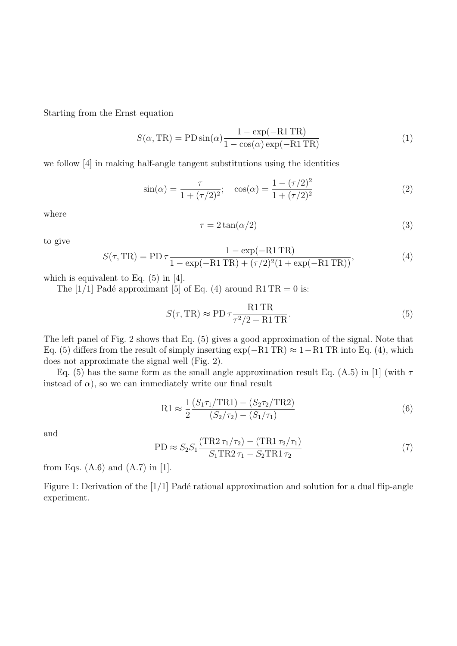Starting from the Ernst equation

$$
S(\alpha, \text{TR}) = \text{PD}\sin(\alpha)\frac{1 - \exp(-\text{R1 TR})}{1 - \cos(\alpha)\exp(-\text{R1 TR})}
$$
(1)

we follow [4] in making half-angle tangent substitutions using the identities

$$
\sin(\alpha) = \frac{\tau}{1 + (\tau/2)^2}; \quad \cos(\alpha) = \frac{1 - (\tau/2)^2}{1 + (\tau/2)^2}
$$
 (2)

where

$$
\tau = 2\tan(\alpha/2) \tag{3}
$$

to give

$$
S(\tau, TR) = PD \tau \frac{1 - \exp(-R1 TR)}{1 - \exp(-R1 TR) + (\tau/2)^2 (1 + \exp(-R1 TR))},
$$
(4)

which is equivalent to Eq.  $(5)$  in [4].

The [1/1] Padé approximant [5] of Eq. (4) around R1 TR = 0 is:

$$
S(\tau, \text{TR}) \approx \text{PD}\,\tau \frac{\text{R1}\,\text{TR}}{\tau^2/2 + \text{R1}\,\text{TR}}.\tag{5}
$$

The left panel of Fig. 2 shows that Eq. (5) gives a good approximation of the signal. Note that Eq. (5) differs from the result of simply inserting  $\exp(-R1 \text{ TR}) \approx 1-\text{R1 TR}$  into Eq. (4), which does not approximate the signal well (Fig. 2).

Eq. (5) has the same form as the small angle approximation result Eq. (A.5) in [1] (with  $\tau$ instead of  $\alpha$ ), so we can immediately write our final result

$$
R1 \approx \frac{1}{2} \frac{(S_1 \tau_1 / TR1) - (S_2 \tau_2 / TR2)}{(S_2 / \tau_2) - (S_1 / \tau_1)}
$$
(6)

and

$$
PD \approx S_2 S_1 \frac{(TR2 \tau_1/\tau_2) - (TR1 \tau_2/\tau_1)}{S_1 TR2 \tau_1 - S_2 TR1 \tau_2}
$$
\n(7)

from Eqs.  $(A.6)$  and  $(A.7)$  in [1].

Figure 1: Derivation of the  $[1/1]$  Padé rational approximation and solution for a dual flip-angle experiment.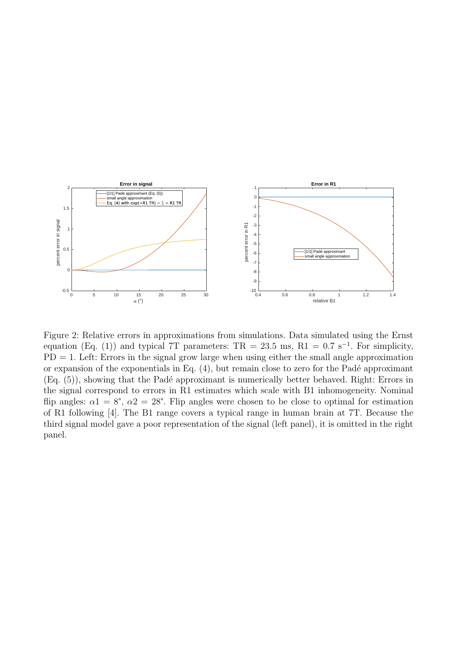

Figure 2: Relative errors in approximations from simulations. Data simulated using the Ernst equation (Eq. (1)) and typical 7T parameters:  $TR = 23.5$  ms,  $R1 = 0.7$  s<sup>-1</sup>. For simplicity,  $PD = 1$ . Left: Errors in the signal grow large when using either the small angle approximation or expansion of the exponentials in Eq.  $(4)$ , but remain close to zero for the Padé approximant  $(Eq. (5))$ , showing that the Padé approximant is numerically better behaved. Right: Errors in the signal correspond to errors in R1 estimates which scale with B1 inhomogeneity. Nominal flip angles:  $\alpha_1 = 8^\circ$ ,  $\alpha_2 = 28^\circ$ . Flip angles were chosen to be close to optimal for estimation of R1 following [4]. The B1 range covers a typical range in human brain at 7T. Because the third signal model gave a poor representation of the signal (left panel), it is omitted in the right panel.